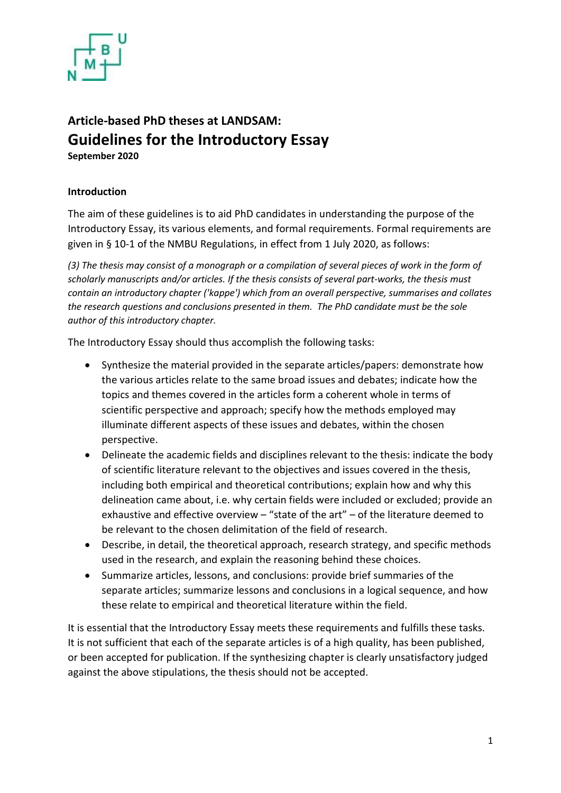

## **Article-based PhD theses at LANDSAM: Guidelines for the Introductory Essay September <sup>2020</sup>**

## **Introduction**

The aim of these guidelines is to aid PhD candidates in understanding the purpose of the Introductory Essay, its various elements, and formal requirements. Formal requirements are given in § 10-1 of the NMBU Regulations, in effect from 1 July 2020, as follows:

*(3) The thesis may consist of a monograph or a compilation of several pieces of work in the form of scholarly manuscripts and/or articles. If the thesis consists of several part-works, the thesis must contain an introductory chapter ('kappe') which from an overall perspective, summarises and collates the research questions and conclusions presented in them. The PhD candidate must be the sole author of this introductory chapter.* 

The Introductory Essay should thus accomplish the following tasks:

- Synthesize the material provided in the separate articles/papers: demonstrate how the various articles relate to the same broad issues and debates; indicate how the topics and themes covered in the articles form a coherent whole in terms of scientific perspective and approach; specify how the methods employed may illuminate different aspects of these issues and debates, within the chosen perspective.
- Delineate the academic fields and disciplines relevant to the thesis: indicate the body of scientific literature relevant to the objectives and issues covered in the thesis, including both empirical and theoretical contributions; explain how and why this delineation came about, i.e. why certain fields were included or excluded; provide an exhaustive and effective overview – "state of the art" – of the literature deemed to be relevant to the chosen delimitation of the field of research.
- Describe, in detail, the theoretical approach, research strategy, and specific methods used in the research, and explain the reasoning behind these choices.
- Summarize articles, lessons, and conclusions: provide brief summaries of the separate articles; summarize lessons and conclusions in a logical sequence, and how these relate to empirical and theoretical literature within the field.

It is essential that the Introductory Essay meets these requirements and fulfills these tasks. It is not sufficient that each of the separate articles is of a high quality, has been published, or been accepted for publication. If the synthesizing chapter is clearly unsatisfactory judged against the above stipulations, the thesis should not be accepted.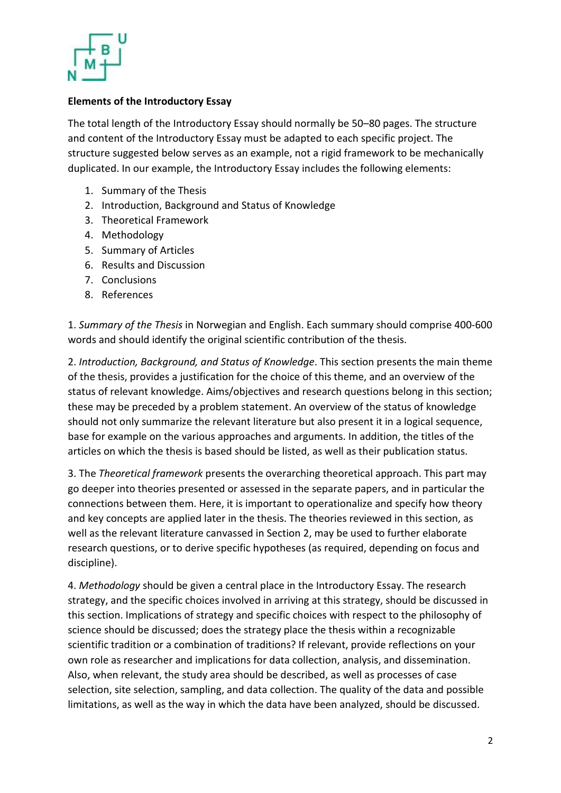

## **Elements of the Introductory Essay**

The total length of the Introductory Essay should normally be 50–80 pages. The structure and content of the Introductory Essay must be adapted to each specific project. The structure suggested below serves as an example, not a rigid framework to be mechanically duplicated. In our example, the Introductory Essay includes the following elements:

- 1. Summary of the Thesis
- 2. Introduction, Background and Status of Knowledge
- 3. Theoretical Framework
- 4. Methodology
- 5. Summary of Articles
- 6. Results and Discussion
- 7. Conclusions
- 8. References

1. *Summary of the Thesis* in Norwegian and English. Each summary should comprise 400-600 words and should identify the original scientific contribution of the thesis.

2. *Introduction, Background, and Status of Knowledge*. This section presents the main theme of the thesis, provides a justification for the choice of this theme, and an overview of the status of relevant knowledge. Aims/objectives and research questions belong in this section; these may be preceded by a problem statement. An overview of the status of knowledge should not only summarize the relevant literature but also present it in a logical sequence, base for example on the various approaches and arguments. In addition, the titles of the articles on which the thesis is based should be listed, as well as their publication status.

3. The *Theoretical framework* presents the overarching theoretical approach. This part may go deeper into theories presented or assessed in the separate papers, and in particular the connections between them. Here, it is important to operationalize and specify how theory and key concepts are applied later in the thesis. The theories reviewed in this section, as well as the relevant literature canvassed in Section 2, may be used to further elaborate research questions, or to derive specific hypotheses (as required, depending on focus and discipline).

4. *Methodology* should be given a central place in the Introductory Essay. The research strategy, and the specific choices involved in arriving at this strategy, should be discussed in this section. Implications of strategy and specific choices with respect to the philosophy of science should be discussed; does the strategy place the thesis within a recognizable scientific tradition or a combination of traditions? If relevant, provide reflections on your own role as researcher and implications for data collection, analysis, and dissemination. Also, when relevant, the study area should be described, as well as processes of case selection, site selection, sampling, and data collection. The quality of the data and possible limitations, as well as the way in which the data have been analyzed, should be discussed.